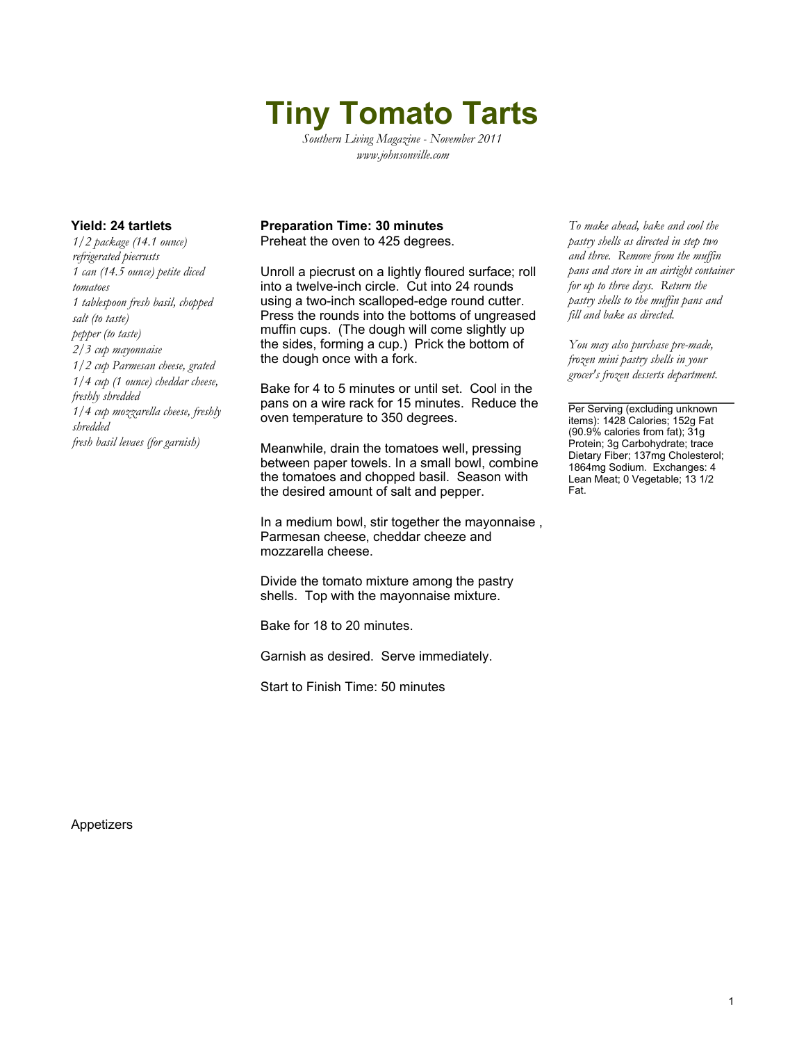# **Tiny Tomato Tarts**

*Southern Living Magazine - November 2011 www.johnsonville.com*

*1/2 package (14.1 ounce) refrigerated piecrusts 1 can (14.5 ounce) petite diced tomatoes 1 tablespoon fresh basil, chopped salt (to taste) pepper (to taste) 2/3 cup mayonnaise 1/2 cup Parmesan cheese, grated 1/4 cup (1 ounce) cheddar cheese, freshly shredded 1/4 cup mozzarella cheese, freshly shredded fresh basil levaes (for garnish)*

### **Yield: 24 tartlets Preparation Time: 30 minutes** *To make ahead, bake and cool the*

Preheat the oven to 425 degrees.

Unroll a piecrust on a lightly floured surface; roll into a twelve-inch circle. Cut into 24 rounds using a two-inch scalloped-edge round cutter. Press the rounds into the bottoms of ungreased muffin cups. (The dough will come slightly up the sides, forming a cup.) Prick the bottom of the dough once with a fork.

Bake for 4 to 5 minutes or until set. Cool in the pans on a wire rack for 15 minutes. Reduce the oven temperature to 350 degrees.

Meanwhile, drain the tomatoes well, pressing between paper towels. In a small bowl, combine the tomatoes and chopped basil. Season with the desired amount of salt and pepper.

In a medium bowl, stir together the mayonnaise , Parmesan cheese, cheddar cheeze and mozzarella cheese.

Divide the tomato mixture among the pastry shells. Top with the mayonnaise mixture.

Bake for 18 to 20 minutes.

Garnish as desired. Serve immediately.

Start to Finish Time: 50 minutes

*pastry shells as directed in step two and three. Remove from the muffin pans and store in an airtight container for up to three days. Return the pastry shells to the muffin pans and fill and bake as directed.*

*You may also purchase pre-made, frozen mini pastry shells in your grocer's frozen desserts department.*

Per Serving (excluding unknown items): 1428 Calories; 152g Fat (90.9% calories from fat); 31g Protein; 3g Carbohydrate; trace Dietary Fiber; 137mg Cholesterol; 1864mg Sodium. Exchanges: 4 Lean Meat; 0 Vegetable; 13 1/2 Fat.

Appetizers